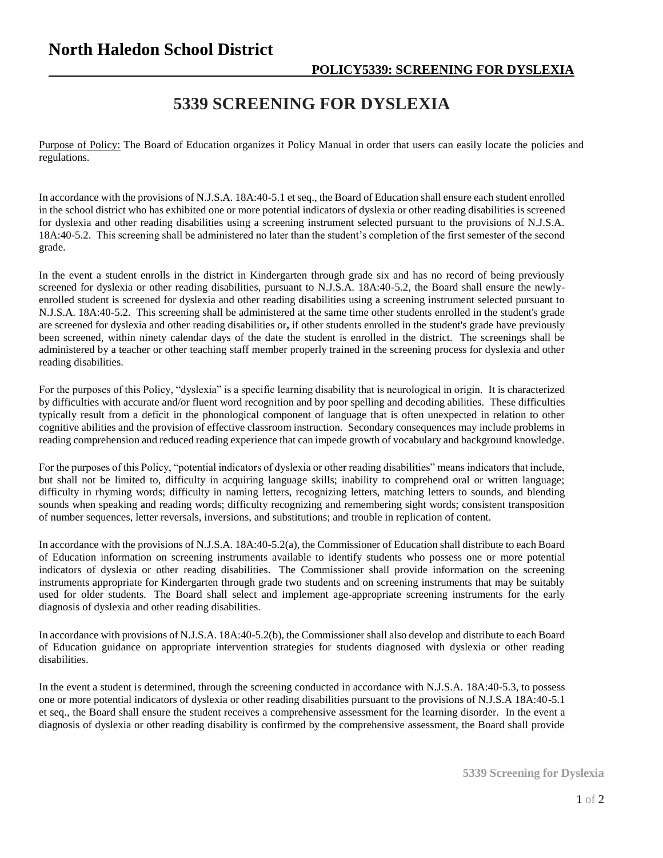## **North Haledon School District**

## **5339 SCREENING FOR DYSLEXIA**

Purpose of Policy: The Board of Education organizes it Policy Manual in order that users can easily locate the policies and regulations.

In accordance with the provisions of N.J.S.A. 18A:40-5.1 et seq., the Board of Education shall ensure each student enrolled in the school district who has exhibited one or more potential indicators of dyslexia or other reading disabilities is screened for dyslexia and other reading disabilities using a screening instrument selected pursuant to the provisions of N.J.S.A. 18A:40-5.2. This screening shall be administered no later than the student's completion of the first semester of the second grade.

In the event a student enrolls in the district in Kindergarten through grade six and has no record of being previously screened for dyslexia or other reading disabilities, pursuant to N.J.S.A. 18A:40-5.2, the Board shall ensure the newlyenrolled student is screened for dyslexia and other reading disabilities using a screening instrument selected pursuant to N.J.S.A. 18A:40-5.2. This screening shall be administered at the same time other students enrolled in the student's grade are screened for dyslexia and other reading disabilities or**,** if other students enrolled in the student's grade have previously been screened, within ninety calendar days of the date the student is enrolled in the district. The screenings shall be administered by a teacher or other teaching staff member properly trained in the screening process for dyslexia and other reading disabilities.

For the purposes of this Policy, "dyslexia" is a specific learning disability that is neurological in origin. It is characterized by difficulties with accurate and/or fluent word recognition and by poor spelling and decoding abilities. These difficulties typically result from a deficit in the phonological component of language that is often unexpected in relation to other cognitive abilities and the provision of effective classroom instruction. Secondary consequences may include problems in reading comprehension and reduced reading experience that can impede growth of vocabulary and background knowledge.

For the purposes of this Policy, "potential indicators of dyslexia or other reading disabilities" means indicators that include, but shall not be limited to, difficulty in acquiring language skills; inability to comprehend oral or written language; difficulty in rhyming words; difficulty in naming letters, recognizing letters, matching letters to sounds, and blending sounds when speaking and reading words; difficulty recognizing and remembering sight words; consistent transposition of number sequences, letter reversals, inversions, and substitutions; and trouble in replication of content.

In accordance with the provisions of N.J.S.A. 18A:40-5.2(a), the Commissioner of Education shall distribute to each Board of Education information on screening instruments available to identify students who possess one or more potential indicators of dyslexia or other reading disabilities. The Commissioner shall provide information on the screening instruments appropriate for Kindergarten through grade two students and on screening instruments that may be suitably used for older students. The Board shall select and implement age-appropriate screening instruments for the early diagnosis of dyslexia and other reading disabilities.

In accordance with provisions of N.J.S.A. 18A:40-5.2(b), the Commissioner shall also develop and distribute to each Board of Education guidance on appropriate intervention strategies for students diagnosed with dyslexia or other reading disabilities.

In the event a student is determined, through the screening conducted in accordance with N.J.S.A. 18A:40-5.3, to possess one or more potential indicators of dyslexia or other reading disabilities pursuant to the provisions of N.J.S.A 18A:40-5.1 et seq., the Board shall ensure the student receives a comprehensive assessment for the learning disorder. In the event a diagnosis of dyslexia or other reading disability is confirmed by the comprehensive assessment, the Board shall provide